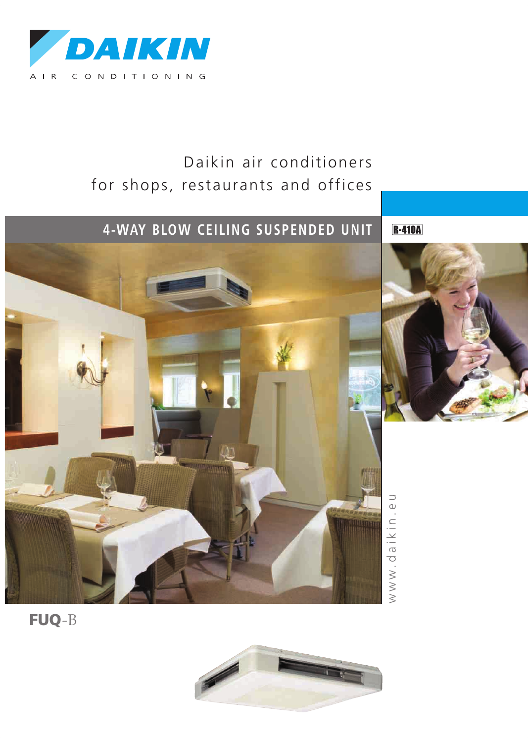

# Daikin air conditioners for shops, restaurants and offices

# **4-WAY BLOW CE ILING SUSPENDED UNIT**





w $\geqslant$ w . d ത i k i n . e コ

FUQ-B

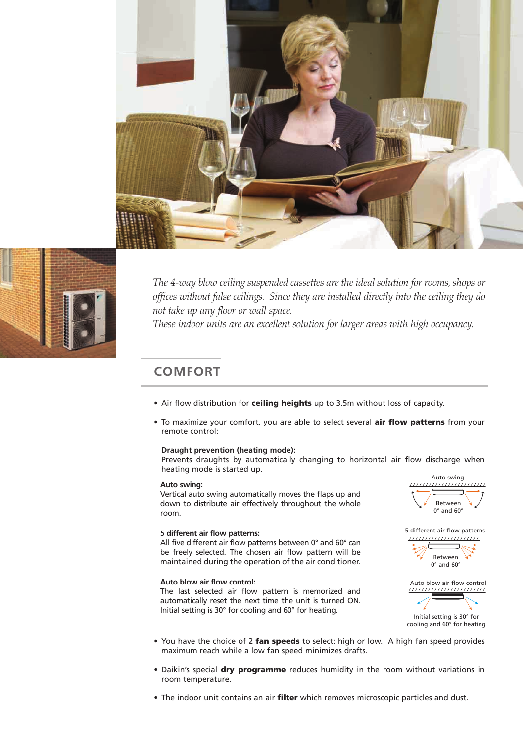



*The 4-way blow ceiling suspended cassettes are the ideal solution for rooms,shops or offices without false ceilings. Since they are installed directly into the ceiling they do not take up any floor or wall space.*

*These indoor units are an excellent solution for larger areas with high occupancy.*

### **COMFORT**

- Air flow distribution for ceiling heights up to 3.5m without loss of capacity.
- To maximize your comfort, you are able to select several air flow patterns from your remote control:

#### **Draught prevention (heating mode):**

Prevents draughts by automatically changing to horizontal air flow discharge when heating mode is started up.

#### **Auto swing:**

Vertical auto swing automatically moves the flaps up and down to distribute air effectively throughout the whole room.

#### **5 different air flow patterns:**

All five different air flow patterns between 0° and 60° can be freely selected. The chosen air flow pattern will be maintained during the operation of the air conditioner.

### **Auto blow air flow control:**

The last selected air flow pattern is memorized and automatically reset the next time the unit is turned ON. Initial setting is 30° for cooling and 60° for heating.



5 different air flow patterns ,,,,,,,,,,,,,,,,,,,,,,





cooling and 60° for heating

- You have the choice of 2 fan speeds to select: high or low. A high fan speed provides maximum reach while a low fan speed minimizes drafts.
- Daikin's special dry programme reduces humidity in the room without variations in room temperature.
- The indoor unit contains an air filter which removes microscopic particles and dust.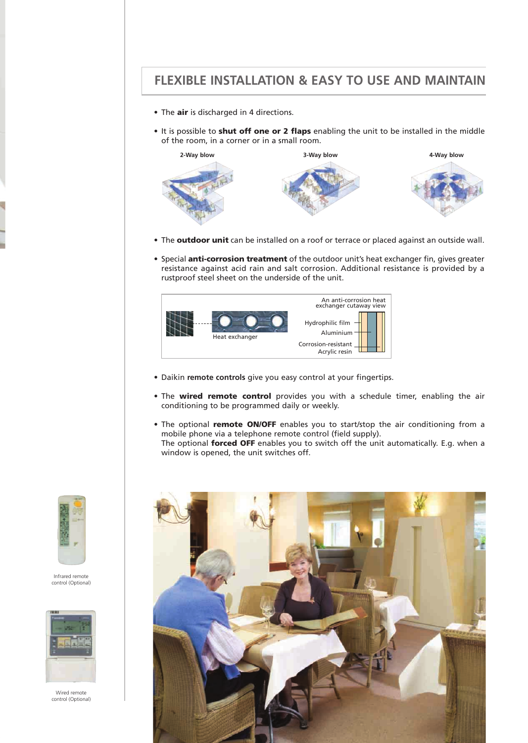### **FLEXIBLE INSTALLATION & EASY TO USE AND MAINTAIN**

- The air is discharged in 4 directions.
- It is possible to shut off one or 2 flaps enabling the unit to be installed in the middle of the room, in a corner or in a small room.



- The **outdoor unit** can be installed on a roof or terrace or placed against an outside wall.
- Special **anti-corrosion treatment** of the outdoor unit's heat exchanger fin, gives greater resistance against acid rain and salt corrosion. Additional resistance is provided by a rustproof steel sheet on the underside of the unit.



- Daikin **remote controls** give you easy control at your fingertips.
- The wired remote control provides you with a schedule timer, enabling the air conditioning to be programmed daily or weekly.
- The optional remote ON/OFF enables you to start/stop the air conditioning from a mobile phone via a telephone remote control (field supply). The optional forced OFF enables you to switch off the unit automatically. E.g. when a window is opened, the unit switches off.





Infrared remote control (Optional)



Wired remote control (Optional)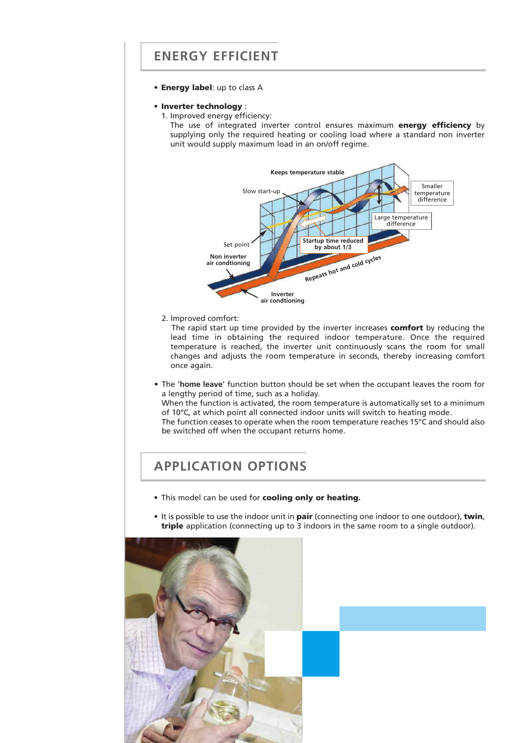### **ENERGY EFFICIENT**

- Energy label: up to class A
- Inverter technology :
	- 1. Improved energy efficiency:

The use of integrated inverter control ensures maximum energy efficiency by supplying only the required heating or cooling load where a standard non inverter unit would supply maximum load in an on/off regime.



2. Improved comfort:

The rapid start up time provided by the inverter increases comfort by reducing the lead time in obtaining the required indoor temperature. Once the required temperature is reached, the inverter unit continuously scans the room for small changes and adjusts the room temperature in seconds, thereby increasing comfort once again.

• The '**home leave**' function button should be set when the occupant leaves the room for a lengthy period of time, such as a holiday. When the function is activated, the room temperature is automatically set to a minimum of 10°C, at which point all connected indoor units will switch to heating mode. The function ceases to operate when the room temperature reaches 15°C and should also

### **APPLICATION OPTIONS**

• This model can be used for cooling only or heating.

be switched off when the occupant returns home.

• It is possible to use the indoor unit in pair (connecting one indoor to one outdoor), twin, triple application (connecting up to 3 indoors in the same room to a single outdoor).



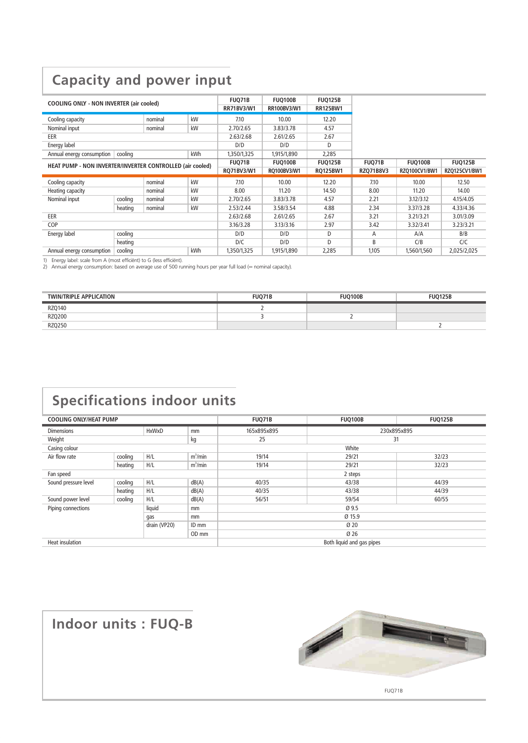# **Capacity and power input**

| <b>COOLING ONLY - NON INVERTER (air cooled)</b>           |         |         |               | <b>FUQ71B</b><br><b>RR71BV3/W1</b> | <b>FUQ100B</b><br><b>RR100BV3/W1</b> | <b>FUQ125B</b><br><b>RR125BW1</b> |                |                |               |
|-----------------------------------------------------------|---------|---------|---------------|------------------------------------|--------------------------------------|-----------------------------------|----------------|----------------|---------------|
| Cooling capacity                                          |         | nominal | kW            | 7.10                               | 10.00                                | 12.20                             |                |                |               |
| Nominal input                                             |         | nominal | kW            | 2.70/2.65                          | 3.83/3.78                            | 4.57                              |                |                |               |
| EER                                                       |         |         |               | 2.63/2.68                          | 2.61/2.65                            | 2.67                              |                |                |               |
| Energy label                                              |         |         |               | D/D                                | D/D                                  | D                                 |                |                |               |
| Annual energy consumption                                 | cooling |         | kWh           | 1,350/1,325                        | 1,915/1,890                          | 2,285                             |                |                |               |
| HEAT PUMP - NON INVERTER/INVERTER CONTROLLED (air cooled) |         |         | <b>FUQ71B</b> | <b>FUQ100B</b>                     | <b>FUQ125B</b>                       | <b>FUQ71B</b>                     | <b>FUQ100B</b> | <b>FUQ125B</b> |               |
|                                                           |         |         |               | RQ71BV3/W1                         | RQ100BV3/W1                          | <b>RQ125BW1</b>                   | RZQ71B8V3      | RZQ100CV1/BW1  | RZQ125CV1/BW1 |
|                                                           |         |         |               |                                    |                                      |                                   |                |                |               |
| Cooling capacity                                          |         | nominal | kW            | 7.10                               | 10.00                                | 12.20                             | 7.10           | 10.00          | 12.50         |
| Heating capacity                                          |         | nominal | kW            | 8.00                               | 11.20                                | 14.50                             | 8.00           | 11.20          | 14.00         |
| Nominal input                                             | cooling | nominal | kW            | 2.70/2.65                          | 3.83/3.78                            | 4.57                              | 2.21           | 3.12/3.12      | 4.15/4.05     |
|                                                           | heating | nominal | kW            | 2.53/2.44                          | 3.58/3.54                            | 4.88                              | 2.34           | 3.37/3.28      | 4.33/4.36     |
| EER                                                       |         |         |               | 2.63/2.68                          | 2.61/2.65                            | 2.67                              | 3.21           | 3.21/3.21      | 3.01/3.09     |
| COP                                                       |         |         |               | 3.16/3.28                          | 3.13/3.16                            | 2.97                              | 3.42           | 3.32/3.41      | 3.23/3.21     |
| Energy label                                              | cooling |         |               | D/D                                | D/D                                  | D                                 | A              | A/A            | B/B           |
|                                                           | heating |         |               | D/C                                | D/D                                  | D                                 | B              | C/B            | C/C           |

1) Energy label: scale from A (most efficiënt) to G (less efficiënt). 2) Annual energy consumption: based on average use of 500 running hours per year full load (= nominal capacity).

| <b>TWIN/TRIPLE APPLICATION</b> | FUO71B | <b>FUO100B</b> | <b>FUO125B</b> |
|--------------------------------|--------|----------------|----------------|
| RZ0140                         |        |                |                |
| RZQ200                         |        |                |                |
| <b>RZQ250</b>                  |        |                |                |

# **Specifications indoor units**

| <b>COOLING ONLY/HEAT PUMP</b>           |         |              |            | <b>FUQ71B</b> | <b>FUQ100B</b>            | <b>FUQ125B</b> |  |  |  |
|-----------------------------------------|---------|--------------|------------|---------------|---------------------------|----------------|--|--|--|
| <b>HxWxD</b><br><b>Dimensions</b><br>mm |         |              |            | 165x895x895   | 230x895x895               |                |  |  |  |
| Weight                                  |         |              | kg         | 25            | 31                        |                |  |  |  |
| Casing colour                           |         |              |            |               | White                     |                |  |  |  |
| Air flow rate<br>cooling                |         | H/L          | $m^3/m$ in | 19/14         | 29/21                     | 32/23          |  |  |  |
|                                         | heating | H/L          | $m^3/m$ in | 19/14         | 29/21                     | 32/23          |  |  |  |
| Fan speed                               |         |              |            |               | 2 steps                   |                |  |  |  |
| Sound pressure level                    | cooling | H/L          | dB(A)      | 40/35         | 43/38                     | 44/39          |  |  |  |
|                                         | heating | H/L          | dB(A)      | 40/35         | 43/38                     | 44/39          |  |  |  |
| Sound power level                       | cooling | H/L          | dB(A)      | 56/51         | 59/54                     | 60/55          |  |  |  |
| liquid<br>Piping connections<br>mm      |         |              |            | Ø 9.5         |                           |                |  |  |  |
|                                         |         | gas          | mm         | Ø 15.9        |                           |                |  |  |  |
|                                         |         | drain (VP20) | ID mm      | Ø20           |                           |                |  |  |  |
|                                         |         |              | OD mm      | Ø 26          |                           |                |  |  |  |
| <b>Heat insulation</b>                  |         |              |            |               | Both liquid and gas pipes |                |  |  |  |

# **Indoor units : FUQ-B**



FUQ71B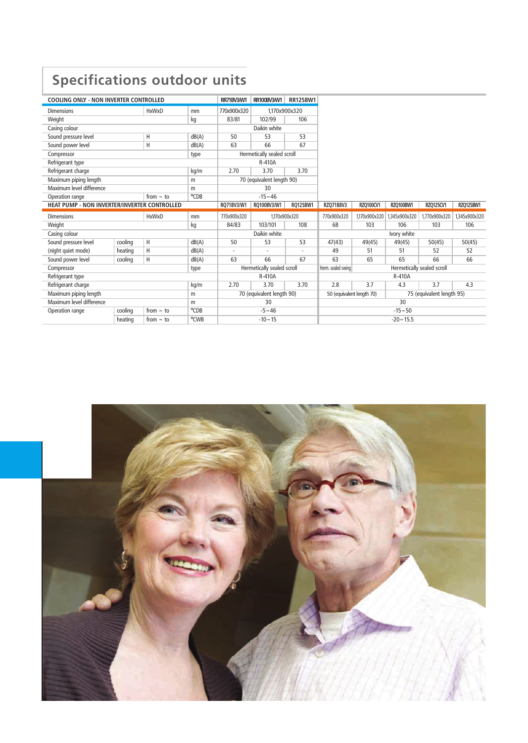# **Specifications outdoor units**

| <b>COOLING ONLY - NON INVERTER CONTROLLED</b> |         |                |       | RR71BV3/W1  | RR100BV3/W1                | <b>RR125BW1</b> |                           |               |                  |                            |               |
|-----------------------------------------------|---------|----------------|-------|-------------|----------------------------|-----------------|---------------------------|---------------|------------------|----------------------------|---------------|
| <b>Dimensions</b>                             |         | <b>HxWxD</b>   | mm    | 770x900x320 | 1.170x900x320              |                 |                           |               |                  |                            |               |
| Weight                                        |         |                | kg    | 83/81       | 102/99                     | 106             |                           |               |                  |                            |               |
| Casing colour                                 |         |                |       |             | Daikin white               |                 |                           |               |                  |                            |               |
| Sound pressure level                          |         | Н              | dB(A) | 50          | 53                         | 53              |                           |               |                  |                            |               |
| Sound power level                             |         | H              | dB(A) | 63          | 66                         | 67              |                           |               |                  |                            |               |
| Compressor                                    |         |                | type  |             | Hermetically sealed scroll |                 |                           |               |                  |                            |               |
| Refrigerant type                              |         |                |       |             | R-410A                     |                 |                           |               |                  |                            |               |
| Refrigerant charge                            |         |                | kg/m  | 2.70        | 3.70                       | 3.70            |                           |               |                  |                            |               |
| Maximum piping length                         |         |                | m     |             | 70 (equivalent length 90)  |                 |                           |               |                  |                            |               |
| Maximum level difference                      |         |                | m     |             | 30                         |                 |                           |               |                  |                            |               |
| Operation range                               |         | from $\sim$ to | °CDB  |             | $-15 - 46$                 |                 |                           |               |                  |                            |               |
| HEAT PUMP - NON INVERTER/INVERTER CONTROLLED  |         |                |       | RO71BV3/W1  | RO100BV3/W1                | RO125BW1        | RZQ71B8V3                 | RZQ100CV1     | <b>RZO100BW1</b> | RZQ125CV1                  | RZQ125BW1     |
|                                               |         |                |       |             |                            |                 |                           |               |                  |                            |               |
| <b>Dimensions</b>                             |         | <b>HxWxD</b>   | mm    | 770x900x320 | 1,170x900x320              |                 | 770x900x320               | 1,170x900x320 | 1,345x900x320    | 1,770x900x320              | 1,345x900x320 |
| Weight                                        |         |                | kg    | 84/83       | 103/101                    | 108             | 68                        | 103           | 106              | 103                        | 106           |
| Casing colour                                 |         |                |       |             | Daikin white               |                 |                           |               | Ivory white      |                            |               |
| Sound pressure level                          | cooling | H              | dB(A) | 50          | 53                         | 53              | 47(43)                    | 49(45)        | 49(45)           | 50(45)                     | 50(45)        |
| (night quiet mode)                            | heating | H              | dB(A) | ٠           |                            |                 | 49                        | 51            | 51               | 52                         | 52            |
| Sound power level                             | cooling | H              | dB(A) | 63          | 66                         | 67              | 63                        | 65            | 65               | 66                         | 66            |
| Compressor                                    |         |                | type  |             | Hermetically sealed scroll |                 | Herm. sealed swing        |               |                  | Hermetically sealed scroll |               |
| Refrigerant type                              |         |                |       |             | R-410A                     |                 |                           |               | R-410A           |                            |               |
| Refrigerant charge                            |         |                | kg/m  | 2.70        | 3.70                       | 3.70            | 2.8                       | 3.7           | 4.3              | 3.7                        | 4.3           |
| Maximum piping length                         |         |                | m     |             | 70 (equivalent length 90)  |                 | 50 (equivalent length 70) |               |                  | 75 (equivalent length 95)  |               |
| Maximum level difference                      |         |                | m     |             | 30                         |                 |                           |               | 30               |                            |               |
| Operation range                               | cooling | from $\sim$ to | °CDB  |             | $-5 - 46$                  |                 |                           |               | $-15 - 50$       |                            |               |

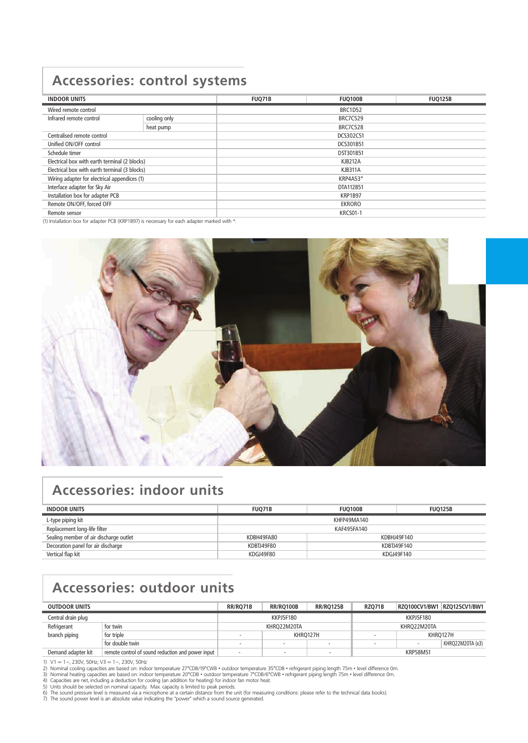## **Accessories: control systems**

| <b>INDOOR UNITS</b>                           |              | FUQ71B          | <b>FUQ100B</b>  | <b>FUQ125B</b> |  |  |
|-----------------------------------------------|--------------|-----------------|-----------------|----------------|--|--|
| Wired remote control                          |              | <b>BRC1D52</b>  |                 |                |  |  |
| Infrared remote control                       | cooling only | <b>BRC7C529</b> |                 |                |  |  |
|                                               | heat pump    | <b>BRC7C528</b> |                 |                |  |  |
| Centralised remote control                    |              |                 | DCS302C51       |                |  |  |
| Unified ON/OFF control                        |              |                 | DCS301B51       |                |  |  |
| Schedule timer                                |              | DST301B51       |                 |                |  |  |
| Electrical box with earth terminal (2 blocks) |              | <b>KJB212A</b>  |                 |                |  |  |
| Electrical box with earth terminal (3 blocks) |              | <b>KJB311A</b>  |                 |                |  |  |
| Wiring adapter for electrical appendices (1)  |              | KRP4A53*        |                 |                |  |  |
| Interface adapter for Sky Air                 |              | DTA112B51       |                 |                |  |  |
| Installation box for adapter PCB              |              | <b>KRP1B97</b>  |                 |                |  |  |
| Remote ON/OFF, forced OFF                     |              | EKRORO          |                 |                |  |  |
| Remote sensor                                 |              |                 | <b>KRCS01-1</b> |                |  |  |

(1) Installation box for adapter PCB (KRP1B97) is necessary for each adapter marked with \*.



## **Accessories: indoor units**

| <b>INDOOR UNITS</b>                    | <b>FUO71B</b><br><b>FUO100B</b> |  | <b>FUO125B</b> |  |  |
|----------------------------------------|---------------------------------|--|----------------|--|--|
| L-type piping kit                      | KHFP49MA140                     |  |                |  |  |
| Replacement long-life filter           | KAF495FA140                     |  |                |  |  |
| Sealing member of air discharge outlet | KDBH49FA80<br>KDBHJ49F140       |  |                |  |  |
| Decoration panel for air discharge     | KDBTJ49F80<br>KDBTJ49F140       |  |                |  |  |
| Vertical flap kit                      | KDGJ49F140<br>KDGJ49F80         |  |                |  |  |

# **Accessories: outdoor units**

| <b>OUTDOOR UNITS</b> |                                                   | RR/RO71B | <b>RR/RO100B</b> | <b>RR/RO125B</b> | <b>RZO71B</b> | <b>RZO100CV1/BW1</b><br><b>RZO125CV1/BW1</b> |
|----------------------|---------------------------------------------------|----------|------------------|------------------|---------------|----------------------------------------------|
| Central drain plug   |                                                   |          | KKPJ5F180        |                  |               | KKPJ5F180                                    |
| Refrigerant          | for twin                                          |          | KHRO22M20TA      |                  |               | KHRO22M20TA                                  |
| branch piping        | for triple                                        | KHRO127H |                  |                  | KHRO127H      |                                              |
|                      | for double twin                                   |          |                  |                  |               | KHRQ22M20TA (x3)                             |
| Demand adapter kit   | remote control of sound reduction and power input |          |                  | ٠                |               | <b>KRP58M51</b>                              |

1)  $V1 = 1 \sim$ , 230V, 50Hz; V3 = 1 $\sim$ , 230V, 50Hz<br>2) Nominal cooling capacities are based on: indoor temperature 27°CDB/19°CWB • outdoor temperature 35°CDB • refrigerant piping length 7.5m • level difference 0m.<br>3) Nominal